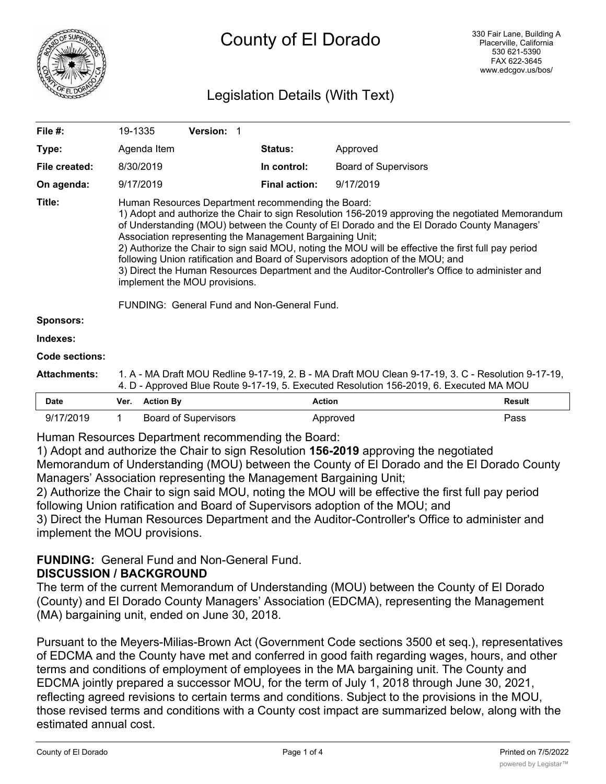

## Legislation Details (With Text)

| File $#$ :          | 19-1335                                                                                                                                                                                                                                                                                                                                                                                                                                                                                                                                                                                                                                                                                    |                  | Version: 1                  |  |                      |                             |               |
|---------------------|--------------------------------------------------------------------------------------------------------------------------------------------------------------------------------------------------------------------------------------------------------------------------------------------------------------------------------------------------------------------------------------------------------------------------------------------------------------------------------------------------------------------------------------------------------------------------------------------------------------------------------------------------------------------------------------------|------------------|-----------------------------|--|----------------------|-----------------------------|---------------|
| Type:               |                                                                                                                                                                                                                                                                                                                                                                                                                                                                                                                                                                                                                                                                                            | Agenda Item      |                             |  | <b>Status:</b>       | Approved                    |               |
| File created:       |                                                                                                                                                                                                                                                                                                                                                                                                                                                                                                                                                                                                                                                                                            | 8/30/2019        |                             |  | In control:          | <b>Board of Supervisors</b> |               |
| On agenda:          |                                                                                                                                                                                                                                                                                                                                                                                                                                                                                                                                                                                                                                                                                            | 9/17/2019        |                             |  | <b>Final action:</b> | 9/17/2019                   |               |
| Title:              | Human Resources Department recommending the Board:<br>1) Adopt and authorize the Chair to sign Resolution 156-2019 approving the negotiated Memorandum<br>of Understanding (MOU) between the County of El Dorado and the El Dorado County Managers'<br>Association representing the Management Bargaining Unit;<br>2) Authorize the Chair to sign said MOU, noting the MOU will be effective the first full pay period<br>following Union ratification and Board of Supervisors adoption of the MOU; and<br>3) Direct the Human Resources Department and the Auditor-Controller's Office to administer and<br>implement the MOU provisions.<br>FUNDING: General Fund and Non-General Fund. |                  |                             |  |                      |                             |               |
| <b>Sponsors:</b>    |                                                                                                                                                                                                                                                                                                                                                                                                                                                                                                                                                                                                                                                                                            |                  |                             |  |                      |                             |               |
| Indexes:            |                                                                                                                                                                                                                                                                                                                                                                                                                                                                                                                                                                                                                                                                                            |                  |                             |  |                      |                             |               |
| Code sections:      |                                                                                                                                                                                                                                                                                                                                                                                                                                                                                                                                                                                                                                                                                            |                  |                             |  |                      |                             |               |
| <b>Attachments:</b> | 1. A - MA Draft MOU Redline 9-17-19, 2. B - MA Draft MOU Clean 9-17-19, 3. C - Resolution 9-17-19,<br>4. D - Approved Blue Route 9-17-19, 5. Executed Resolution 156-2019, 6. Executed MA MOU                                                                                                                                                                                                                                                                                                                                                                                                                                                                                              |                  |                             |  |                      |                             |               |
| <b>Date</b>         | Ver.                                                                                                                                                                                                                                                                                                                                                                                                                                                                                                                                                                                                                                                                                       | <b>Action By</b> |                             |  |                      | <b>Action</b>               | <b>Result</b> |
| 9/17/2019           | 1.                                                                                                                                                                                                                                                                                                                                                                                                                                                                                                                                                                                                                                                                                         |                  | <b>Board of Supervisors</b> |  |                      | Approved                    | Pass          |

Human Resources Department recommending the Board:

1) Adopt and authorize the Chair to sign Resolution **156-2019** approving the negotiated Memorandum of Understanding (MOU) between the County of El Dorado and the El Dorado County Managers' Association representing the Management Bargaining Unit;

2) Authorize the Chair to sign said MOU, noting the MOU will be effective the first full pay period following Union ratification and Board of Supervisors adoption of the MOU; and 3) Direct the Human Resources Department and the Auditor-Controller's Office to administer and

implement the MOU provisions.

# **FUNDING:** General Fund and Non-General Fund.

## **DISCUSSION / BACKGROUND**

The term of the current Memorandum of Understanding (MOU) between the County of El Dorado (County) and El Dorado County Managers' Association (EDCMA), representing the Management (MA) bargaining unit, ended on June 30, 2018.

Pursuant to the Meyers-Milias-Brown Act (Government Code sections 3500 et seq.), representatives of EDCMA and the County have met and conferred in good faith regarding wages, hours, and other terms and conditions of employment of employees in the MA bargaining unit. The County and EDCMA jointly prepared a successor MOU, for the term of July 1, 2018 through June 30, 2021, reflecting agreed revisions to certain terms and conditions. Subject to the provisions in the MOU, those revised terms and conditions with a County cost impact are summarized below, along with the estimated annual cost.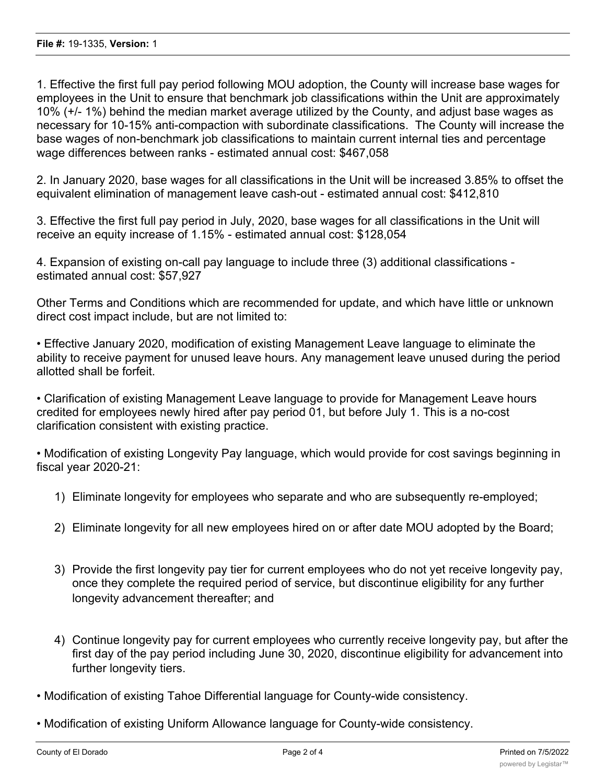1. Effective the first full pay period following MOU adoption, the County will increase base wages for employees in the Unit to ensure that benchmark job classifications within the Unit are approximately 10% (+/- 1%) behind the median market average utilized by the County, and adjust base wages as necessary for 10-15% anti-compaction with subordinate classifications. The County will increase the base wages of non-benchmark job classifications to maintain current internal ties and percentage wage differences between ranks - estimated annual cost: \$467,058

2. In January 2020, base wages for all classifications in the Unit will be increased 3.85% to offset the equivalent elimination of management leave cash-out - estimated annual cost: \$412,810

3. Effective the first full pay period in July, 2020, base wages for all classifications in the Unit will receive an equity increase of 1.15% - estimated annual cost: \$128,054

4. Expansion of existing on-call pay language to include three (3) additional classifications estimated annual cost: \$57,927

Other Terms and Conditions which are recommended for update, and which have little or unknown direct cost impact include, but are not limited to:

• Effective January 2020, modification of existing Management Leave language to eliminate the ability to receive payment for unused leave hours. Any management leave unused during the period allotted shall be forfeit.

• Clarification of existing Management Leave language to provide for Management Leave hours credited for employees newly hired after pay period 01, but before July 1. This is a no-cost clarification consistent with existing practice.

• Modification of existing Longevity Pay language, which would provide for cost savings beginning in fiscal year 2020-21:

- 1) Eliminate longevity for employees who separate and who are subsequently re-employed;
- 2) Eliminate longevity for all new employees hired on or after date MOU adopted by the Board;
- 3) Provide the first longevity pay tier for current employees who do not yet receive longevity pay, once they complete the required period of service, but discontinue eligibility for any further longevity advancement thereafter; and
- 4) Continue longevity pay for current employees who currently receive longevity pay, but after the first day of the pay period including June 30, 2020, discontinue eligibility for advancement into further longevity tiers.
- Modification of existing Tahoe Differential language for County-wide consistency.
- Modification of existing Uniform Allowance language for County-wide consistency.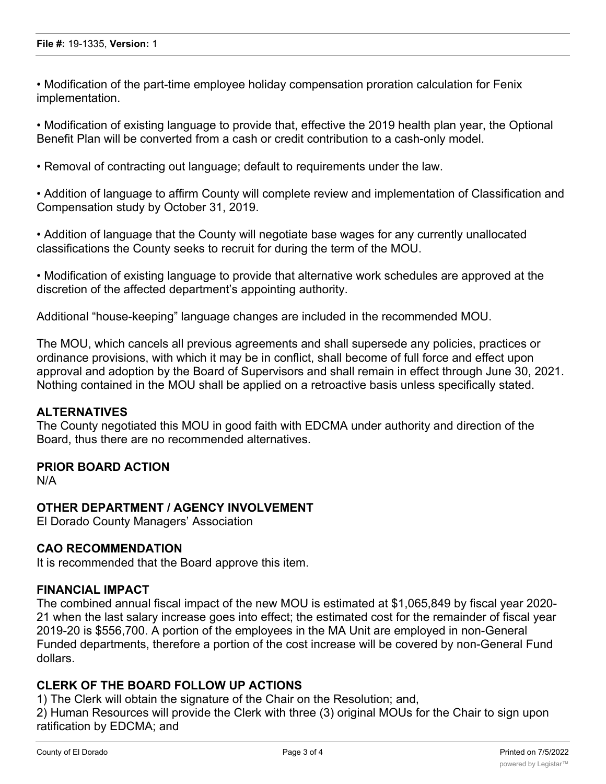• Modification of the part-time employee holiday compensation proration calculation for Fenix implementation.

• Modification of existing language to provide that, effective the 2019 health plan year, the Optional Benefit Plan will be converted from a cash or credit contribution to a cash-only model.

• Removal of contracting out language; default to requirements under the law.

• Addition of language to affirm County will complete review and implementation of Classification and Compensation study by October 31, 2019.

• Addition of language that the County will negotiate base wages for any currently unallocated classifications the County seeks to recruit for during the term of the MOU.

• Modification of existing language to provide that alternative work schedules are approved at the discretion of the affected department's appointing authority.

Additional "house-keeping" language changes are included in the recommended MOU.

The MOU, which cancels all previous agreements and shall supersede any policies, practices or ordinance provisions, with which it may be in conflict, shall become of full force and effect upon approval and adoption by the Board of Supervisors and shall remain in effect through June 30, 2021. Nothing contained in the MOU shall be applied on a retroactive basis unless specifically stated.

#### **ALTERNATIVES**

The County negotiated this MOU in good faith with EDCMA under authority and direction of the Board, thus there are no recommended alternatives.

#### **PRIOR BOARD ACTION**

N/A

#### **OTHER DEPARTMENT / AGENCY INVOLVEMENT**

El Dorado County Managers' Association

#### **CAO RECOMMENDATION**

It is recommended that the Board approve this item.

#### **FINANCIAL IMPACT**

The combined annual fiscal impact of the new MOU is estimated at \$1,065,849 by fiscal year 2020- 21 when the last salary increase goes into effect; the estimated cost for the remainder of fiscal year 2019-20 is \$556,700. A portion of the employees in the MA Unit are employed in non-General Funded departments, therefore a portion of the cost increase will be covered by non-General Fund dollars.

#### **CLERK OF THE BOARD FOLLOW UP ACTIONS**

1) The Clerk will obtain the signature of the Chair on the Resolution; and,

2) Human Resources will provide the Clerk with three (3) original MOUs for the Chair to sign upon ratification by EDCMA; and